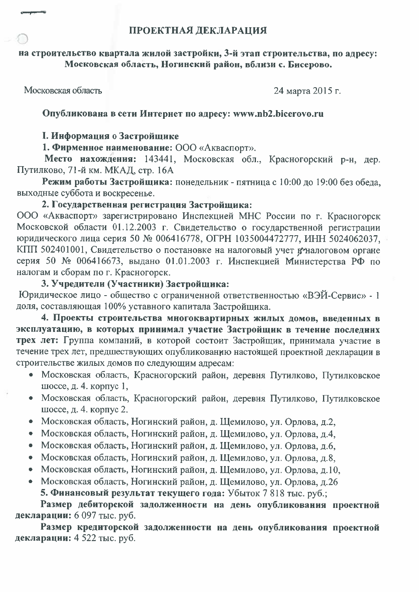### на строительство квартала жилой застройки, 3-й этап строительства, по адресу: Московская область, Ногинский район, вблизи с. Бисерово,

Московская область

24 марта 2015 г.

# Опубликована в сети Интернет по адресу: www.nb2.bicerovo.ru

## **І. Информация о Застройщике**

# 1. Фирменное наименование: ООО «Акваспорт».

Место нахождения: 143441, Московская обл., Красногорский р-н, дер. Путилково, 71-й км. МКАД, стр. 16А

Режим работы Застройщика: понедельник - пятница с 10:00 до 19:00 без обеда, выходные суббота и воскресенье.

## 2. Государственная регистрация Застройщика:

ООО «Акваспорт» зарегистрировано Инспекцией МНС России по г. Красногорск Московской области 01.12.2003 г. Свидетельство о государственной регистрации юридического лица серия 50 № 006416778, ОГРН 1035004472777, ИНН 5024062037, КПП 502401001, Свидетельство о постановке на налоговый учет вталоговом органе серия 50 № 006416673, выдано 01.01.2003 г. Инспекцией Министерства РФ по налогам и сборам по г. Красногорск.

## 3. Учредители (Участники) Застройщика:

Юридическое лицо - общество с ограниченной ответственностью «ВЭЙ-Сервис» - 1 доля, составляющая 100% уставного капитала Застройщика.

4. Проекты строительства многоквартирных жилых домов, введенных в эксплуатацию, в которых принимал участие Застройщик в течение последних трех лет: Группа компаний, в которой состоит Застройщик, принимала участие в течение трех лет, предшествующих опубликованию настоящей проектной декларации в строительстве жилых домов по следующим адресам:

- Московская область, Красногорский район, деревня Путилково, Путилковское шоссе, д. 4. корпус 1,
- Московская область, Красногорский район, деревня Путилково, Путилковское шоссе, д. 4. корпус 2.
- Московская область, Ногинский район, д. Щемилово, ул. Орлова, д.2,
- Московская область, Ногинский район, д. Щемилово, ул. Орлова, д.4,
- Московская область, Ногинский район, д. Щемилово, ул. Орлова, д.6,
- Московская область, Ногинский район, д. Щемилово, ул. Орлова, д.8,
- Московская область, Ногинский район, д. Щемилово, ул. Орлова, д.10,
- Московская область, Ногинский район, д. Щемилово, ул. Орлова, д.26 5. Финансовый результат текущего года: Убыток 7 818 тыс. руб.;

Размер дебиторской задолженности на день опубликования проектной декларации: 6 097 тыс. руб.

Размер кредиторской задолженности на день опубликования проектной декларации: 4 522 тыс. руб.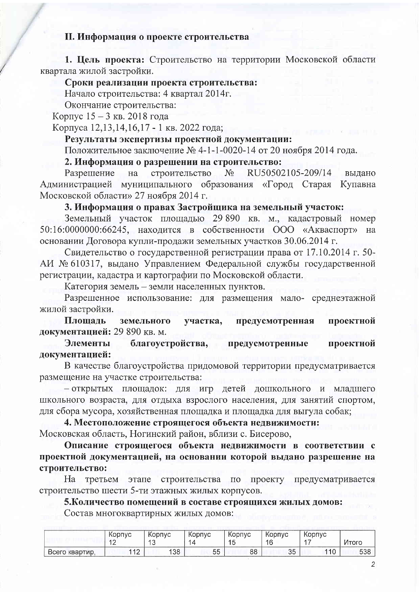#### **II. Информация о проекте строительства**

1. Цель проекта: Строительство на территории Московской области квартала жилой застройки.

#### Сроки реализации проекта строительства:

Начало строительства: 4 квартал 2014г.

Окончание строительства:

Корпус 15 - 3 кв. 2018 года

Корпуса 12,13,14,16,17 - 1 кв. 2022 года;

### Результаты экспертизы проектной документации:

Положительное заключение № 4-1-1-0020-14 от 20 ноября 2014 года.

2. Информация о разрешении на строительство:

Разрешение  $Ha$ строительство  $N_2$ RU50502105-209/14 выдано Администрацией муниципального образования «Город Старая Купавна Московской области» 27 ноября 2014 г.

#### 3. Информация о правах Застройщика на земельный участок:

Земельный участок площадью 29 890 кв. м., кадастровый номер  $50:16:0000000:66245$ , находится в собственности ООО «Акваспорт» на основании Договора купли-продажи земельных участков 30.06.2014 г.

Свидетельство о государственной регистрации права от 17.10.2014 г. 50-АИ № 610317, выдано Управлением Федеральной службы государственной регистрации, кадастра и картографии по Московской области.

Категория земель - земли населенных пунктов.

Разрешенное использование: для размещения мало- среднеэтажной жилой застройки.

Плошаль земельного участка, предусмотренная проектной документацией: 29 890 кв. м.

благоустройства, Элементы предусмотренные проектной документацией:

В качестве благоустройства придомовой территории предусматривается размещение на участке строительства:

- открытых площадок: для игр детей дошкольного и младшего школьного возраста, для отдыха взрослого населения, для занятий спортом, для сбора мусора, хозяйственная площадка и площадка для выгула собак;

4. Местоположение строящегося объекта недвижимости: Московская область, Ногинский район, вблизи с. Бисерово,

Описание строящегося объекта недвижимости в соответствии с проектной документацией, на основании которой выдано разрешение на строительство:

проекту Ha третьем строительства по этапе предусматривается строительство шести 5-ти этажных жилых корпусов.

5. Количество помещений в составе строящихся жилых домов: Состав многоквартирных жилых домов:

|                   | KODNVC<br>$\sim$<br>. ∠ | Kopnyc<br>$\sim$<br>$\overline{\phantom{0}}$ | Корпус         | Kopnyc<br>1F<br>ن ا | Kopnyc<br>1 G | Kopnyc    | Итогс |
|-------------------|-------------------------|----------------------------------------------|----------------|---------------------|---------------|-----------|-------|
| Всего<br>квартир, | 440<br>. <u>.</u>       | 138                                          | --<br>トト<br>υu | 88                  | つに<br>ັບ      | 44C<br>∪י | 538   |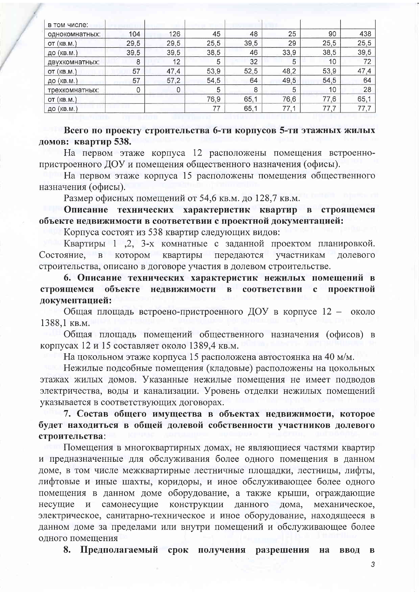| в том числе:   |      |      |      |      |      |      |      |
|----------------|------|------|------|------|------|------|------|
| однокомнатных: | 104  | 126  | 45   | 48   | 25   | 90   | 438  |
| OT(KB.M.)      | 29,5 | 29,5 | 25,5 | 39,5 | 29   | 25,5 | 25,5 |
| до (кв.м.)     | 39,5 | 39,5 | 38,5 | 46   | 33,9 | 38,5 | 39,5 |
| двухкомнатных: | 8    | 12   | 5    | 32   | 5    | 10   | 72   |
| OT(KB.M.)      | 57   | 47,4 | 53,9 | 52,5 | 48,2 | 53,9 | 47,4 |
| ДО (КВ.М.)     | 57   | 57,2 | 54,5 | 64   | 49,5 | 54,5 | 64   |
| трехкомнатных: | 0    | 0    | 5    | 8    | 5    | 10   | 28   |
| OT(KB.M.)      |      |      | 76,9 | 65,1 | 76,6 | 77,6 | 65,1 |
| ДО (КВ.М.)     |      |      | 77   | 65,1 | 77,1 | 77,7 | 77,7 |

Всего по проекту строительства 6-ти корпусов 5-ти этажных жилых домов: квартир 538.

На первом этаже корпуса 12 расположены помещения встроеннопристроенного ДОУ и помещения общественного назначения (офисы).

На первом этаже корпуса 15 расположены помещения общественного назначения (офисы).

Размер офисных помещений от 54,6 кв.м. до 128,7 кв.м.

Описание технических характеристик квартир в строящемся объекте недвижимости в соответствии с проектной документацией:

Корпуса состоят из 538 квартир следующих видов:

Квартиры 1 .2, 3-х комнатные с заданной проектом планировкой. квартиры Состояние. котором передаются долевого  $\mathbf{B}$ участникам строительства, описано в договоре участия в долевом строительстве.

6. Описание технических характеристик нежилых помещений в строящемся объекте нелвижимости соответствии проектной  $\mathbf{B}$  $\mathbf{c}$ документацией:

Общая площадь встроено-пристроенного ДОУ в корпусе 12 - около 1388.1 кв.м.

Общая площадь помещений общественного назначения (офисов) в корпусах 12 и 15 составляет около 1389,4 кв.м.

На цокольном этаже корпуса 15 расположена автостоянка на 40 м/м.

Нежилые подсобные помещения (кладовые) расположены на цокольных этажах жилых домов. Указанные нежилые помещения не имеет подводов электричества, воды и канализации. Уровень отделки нежилых помещений указывается в соответствующих договорах.

7. Состав общего имущества в объектах недвижимости, которое будет находиться в общей долевой собственности участников долевого строительства:

Помещения в многоквартирных домах, не являющиеся частями квартир и предназначенные для обслуживания более одного помещения в данном доме, в том числе межквартирные лестничные площадки, лестницы, лифты, лифтовые и иные шахты, коридоры, и иное обслуживающее более одного помещения в данном доме оборудование, а также крыши, ограждающие несущие самонесущие конструкции данного дома, механическое.  $\mathbf{M}$ электрическое, санитарно-техническое и иное оборудование, находящееся в данном доме за пределами или внутри помещений и обслуживающее более одного помещения

8. Предполагаемый срок получения разрешения на ввод  $\, {\bf B}$ 

3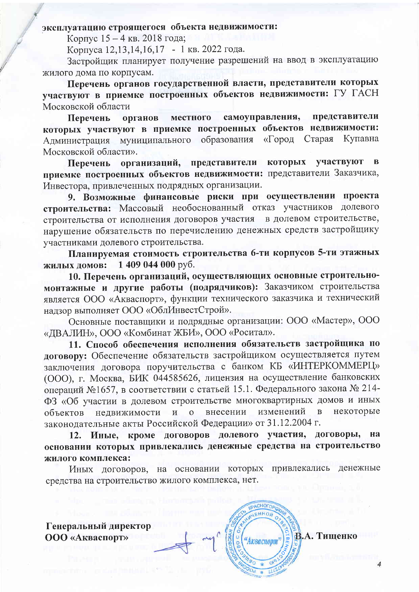# эксплуатацию строящегося объекта недвижимости:

Корпус 15 - 4 кв. 2018 года;

Корпуса 12,13,14,16,17 - 1 кв. 2022 года.

Застройщик планирует получение разрешений на ввод в эксплуатацию жилого дома по корпусам.

Перечень органов государственной власти, представители которых участвуют в приемке построенных объектов недвижимости: ГУ ГАСН Московской области

представители самоуправления, местного Перечень органов которых участвуют в приемке построенных объектов недвижимости: Администрация муниципального образования Старая Купавна «Город Московской области».

участвуют которых  $\overline{\mathbf{B}}$ организаций, представители Перечень приемке построенных объектов недвижимости: представители Заказчика, Инвестора, привлеченных подрядных организации.

9. Возможные финансовые риски при осуществлении проекта строительства: Массовый необоснованный отказ участников долевого строительства от исполнения договоров участия в долевом строительстве, нарушение обязательств по перечислению денежных средств застройщику участниками долевого строительства.

Планируемая стоимость строительства 6-ти корпусов 5-ти этажных 1409 044 000 руб. жилых домов:

10. Перечень организаций, осуществляющих основные строительномонтажные и другие работы (подрядчиков): Заказчиком строительства является ООО «Акваспорт», функции технического заказчика и технический надзор выполняет ООО «ОблИнвестСтрой».

Основные поставщики и подрядные организации: ООО «Мастер», ООО «ДВАЛИН», ООО «Комбинат ЖБИ», ООО «Роситал».

11. Способ обеспечения исполнения обязательств застройщика по договору: Обеспечение обязательств застройщиком осуществляется путем заключения договора поручительства с банком КБ «ИНТЕРКОММЕРЦ» (ООО), г. Москва, БИК 044585626, лицензия на осуществление банковских операций №1657, в соответствии с статьей 15.1. Федерального закона № 214-ФЗ «Об участии в долевом строительстве многоквартирных домов и иных некоторые недвижимости внесении изменений  $\overline{B}$ объектов  $\overline{\mathbf{M}}$  $\Omega$ законодательные акты Российской Федерации» от 31.12.2004 г.

12. Иные, кроме договоров долевого участия, договоры, на основании которых привлекались денежные средства на строительство жилого комплекса:

Иных договоров, на основании которых привлекались денежные средства на строительство жилого комплекса, нет.

**IPACHOLO** 

"Акваспорт"

Генеральный директор **ООО** «Акваспорт»

В.А. Тищенко

 $\overline{4}$